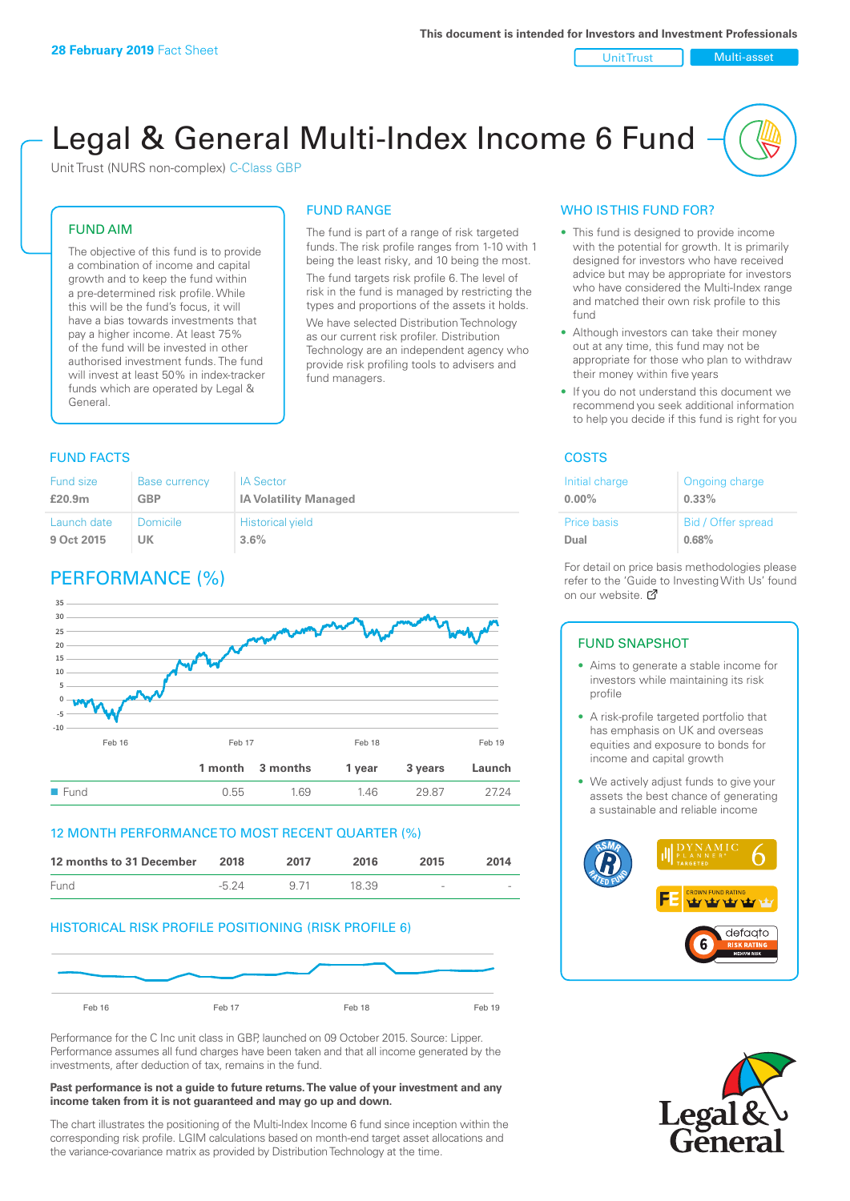#### Unit Trust Nulti-asset

# Legal & General Multi-Index Income 6 Fund

Unit Trust (NURS non-complex) C-Class GBP

## FUND AIM

The objective of this fund is to provide a combination of income and capital growth and to keep the fund within a pre-determined risk profile. While this will be the fund's focus, it will have a bias towards investments that pay a higher income. At least 75% of the fund will be invested in other authorised investment funds. The fund will invest at least 50% in index-tracker funds which are operated by Legal & General.

#### The fund is part of a range of risk targeted

FUND RANGE

funds. The risk profile ranges from 1-10 with 1 being the least risky, and 10 being the most. The fund targets risk profile 6. The level of risk in the fund is managed by restricting the

types and proportions of the assets it holds. We have selected Distribution Technology as our current risk profiler. Distribution Technology are an independent agency who provide risk profiling tools to advisers and fund managers.

## **FUND FACTS** COSTS

| Fund size          | <b>Base currency</b> | <b>IA Sector</b>             |
|--------------------|----------------------|------------------------------|
| £20.9 <sub>m</sub> | <b>GBP</b>           | <b>IA Volatility Managed</b> |
| Launch date        | Domicile             | <b>Historical yield</b>      |
| 9 Oct 2015         | UK                   | 3.6%                         |

## PERFORMANCE (%)



## 12 MONTH PERFORMANCE TO MOST RECENT QUARTER (%)



## HISTORICAL RISK PROFILE POSITIONING (RISK PROFILE 6)



Performance for the C Inc unit class in GBP, launched on 09 October 2015. Source: Lipper. Performance assumes all fund charges have been taken and that all income generated by the investments, after deduction of tax, remains in the fund.

#### **Past performance is not a guide to future returns. The value of your investment and any income taken from it is not guaranteed and may go up and down.**

The chart illustrates the positioning of the Multi-Index Income 6 fund since inception within the corresponding risk profile. LGIM calculations based on month-end target asset allocations and the variance-covariance matrix as provided by Distribution Technology at the time.

## WHO IS THIS FUND FOR?

- This fund is designed to provide income with the potential for growth. It is primarily designed for investors who have received advice but may be appropriate for investors who have considered the Multi-Index range and matched their own risk profile to this fund
- Although investors can take their money out at any time, this fund may not be appropriate for those who plan to withdraw their money within five years
- If you do not understand this document we recommend you seek additional information to help you decide if this fund is right for you

| Initial charge     | Ongoing charge     |
|--------------------|--------------------|
| $0.00\%$           | $0.33\%$           |
| <b>Price basis</b> | Bid / Offer spread |
| Dual               | 0.68%              |

For detail on price basis methodologies please refer to the 'Guide to Investing With Us' found on our website. Ø

## FUND SNAPSHOT

- Aims to generate a stable income for investors while maintaining its risk profile
- A risk-profile targeted portfolio that has emphasis on UK and overseas equities and exposure to bonds for income and capital growth
- We actively adjust funds to give your assets the best chance of generating a sustainable and reliable income



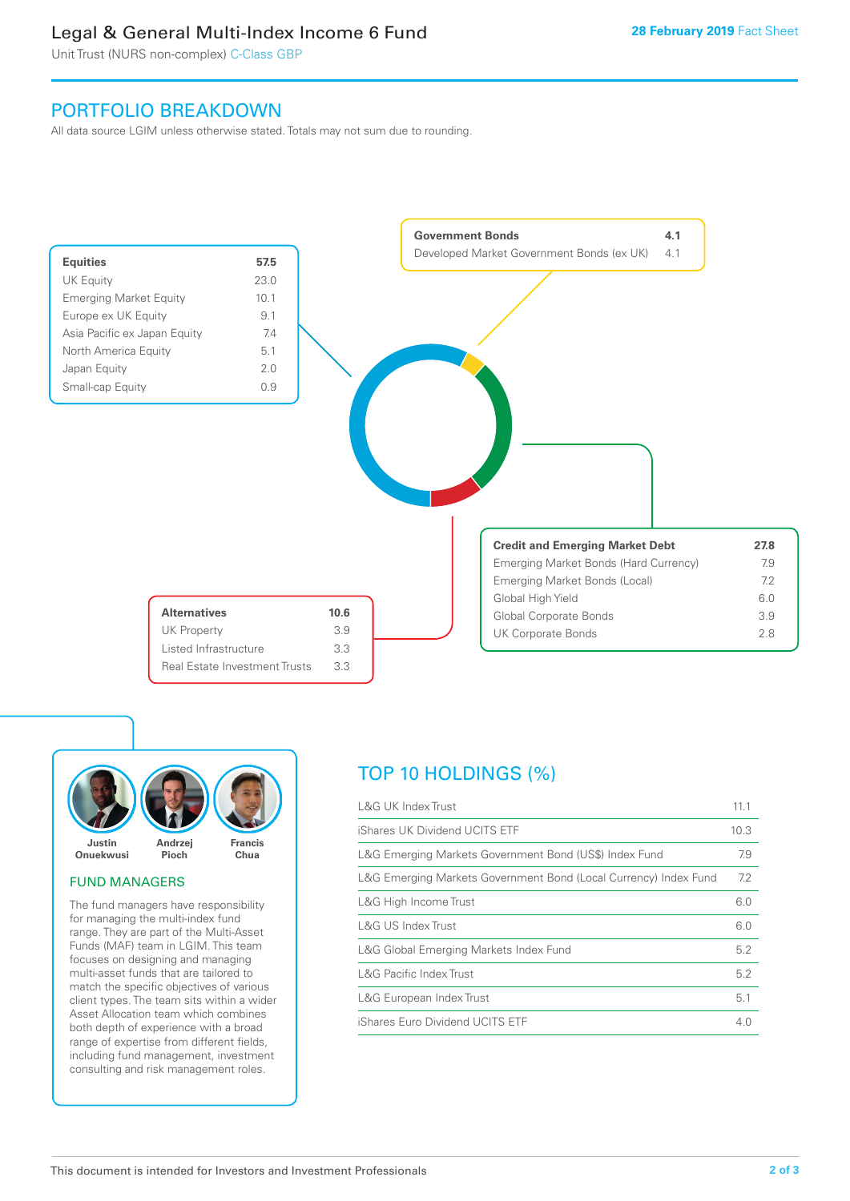## Legal & General Multi-Index Income 6 Fund

Unit Trust (NURS non-complex) C-Class GBP

## PORTFOLIO BREAKDOWN

All data source LGIM unless otherwise stated. Totals may not sum due to rounding.





## FUND MANAGERS

The fund managers have responsibility for managing the multi-index fund range. They are part of the Multi-Asset Funds (MAF) team in LGIM. This team focuses on designing and managing multi-asset funds that are tailored to match the specific objectives of various client types. The team sits within a wider Asset Allocation team which combines both depth of experience with a broad range of expertise from different fields, including fund management, investment consulting and risk management roles.

## TOP 10 HOLDINGS (%)

| <b>L&amp;G UK Index Trust</b>                                    | 11.1 |
|------------------------------------------------------------------|------|
| iShares UK Dividend UCITS ETF                                    | 10.3 |
| L&G Emerging Markets Government Bond (US\$) Index Fund           | 7.9  |
| L&G Emerging Markets Government Bond (Local Currency) Index Fund | 7.2  |
| L&G High Income Trust                                            | 6.0  |
| L&G US Index Trust                                               | 6.0  |
| L&G Global Emerging Markets Index Fund                           | 5.2  |
| <b>L&amp;G Pacific Index Trust</b>                               | 5.2  |
| L&G European Index Trust                                         | 5.1  |
| iShares Euro Dividend UCITS ETF                                  | 4.0  |